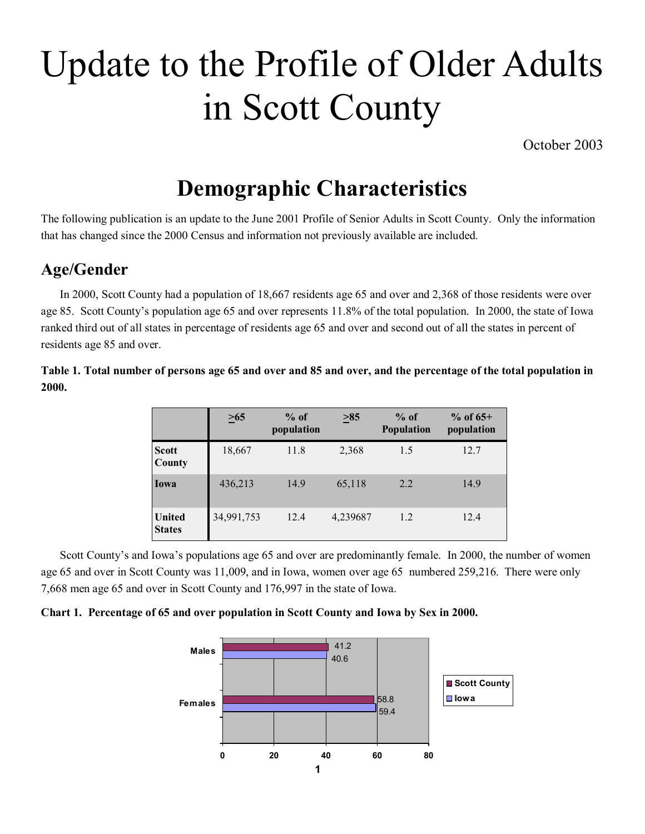# Update to the Profile of Older Adults in Scott County

October 2003

## **Demographic Characteristics**

The following publication is an update to the June 2001 Profile of Senior Adults in Scott County. Only the information that has changed since the 2000 Census and information not previously available are included.

#### **Age/Gender**

In 2000, Scott County had a population of 18,667 residents age 65 and over and 2,368 of those residents were over age 85. Scott County's population age 65 and over represents 11.8% of the total population. In 2000, the state of Iowa ranked third out of all states in percentage of residents age 65 and over and second out of all the states in percent of residents age 85 and over.

**Table 1. Total number of persons age 65 and over and 85 and over, and the percentage of the total population in 2000.**

|                                | $\geq 65$  | $%$ of<br>population | $\geq 85$ | $%$ of<br>Population | $%$ of 65+<br>population |
|--------------------------------|------------|----------------------|-----------|----------------------|--------------------------|
| <b>Scott</b><br>County         | 18,667     | 11.8                 | 2,368     | 1.5                  | 12.7                     |
| Iowa                           | 436,213    | 14.9                 | 65,118    | 2.2                  | 14.9                     |
| <b>United</b><br><b>States</b> | 34,991,753 | 12.4                 | 4,239687  | 1.2                  | 12.4                     |

Scott County's and Iowa's populations age 65 and over are predominantly female. In 2000, the number of women age 65 and over in Scott County was 11,009, and in Iowa, women over age 65 numbered 259,216. There were only 7,668 men age 65 and over in Scott County and 176,997 in the state of Iowa.



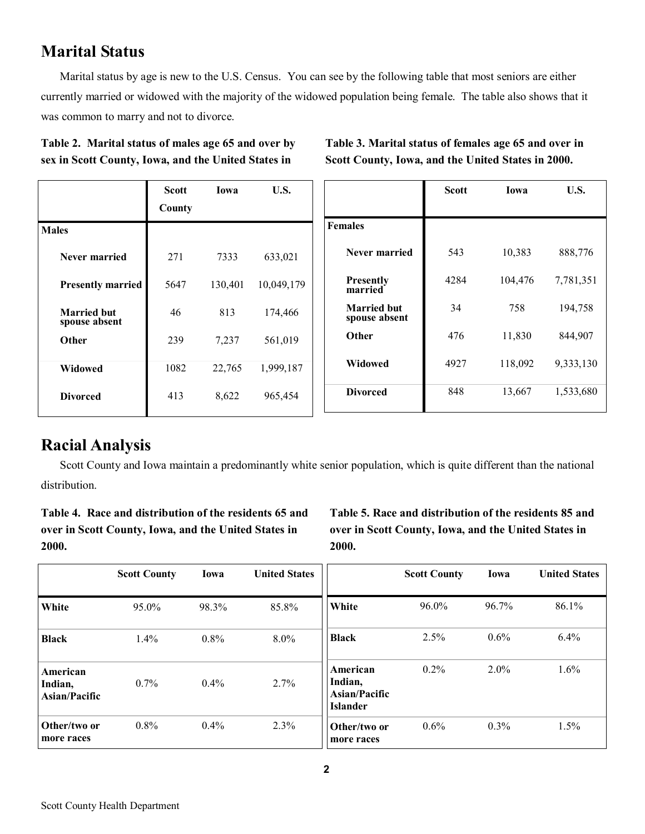#### **Marital Status**

Marital status by age is new to the U.S. Census. You can see by the following table that most seniors are either currently married or widowed with the majority of the widowed population being female. The table also shows that it was common to marry and not to divorce.

|  | Table 2. Marital status of males age 65 and over by |
|--|-----------------------------------------------------|
|  | sex in Scott County, Iowa, and the United States in |

**Table 3. Marital status of females age 65 and over in Scott County, Iowa, and the United States in 2000.** 

|                                     | <b>Scott</b> | Iowa    | U.S.       |                                     | <b>Scott</b> | Iowa    | U.S.      |
|-------------------------------------|--------------|---------|------------|-------------------------------------|--------------|---------|-----------|
|                                     | County       |         |            |                                     |              |         |           |
| <b>Males</b>                        |              |         |            | <b>Females</b>                      |              |         |           |
| Never married                       | 271          | 7333    | 633,021    | Never married                       | 543          | 10,383  | 888,776   |
| <b>Presently married</b>            | 5647         | 130,401 | 10,049,179 | <b>Presently</b><br>married         | 4284         | 104,476 | 7,781,351 |
| <b>Married but</b><br>spouse absent | 46           | 813     | 174,466    | <b>Married but</b><br>spouse absent | 34           | 758     | 194,758   |
| Other                               | 239          | 7,237   | 561,019    | Other                               | 476          | 11,830  | 844,907   |
| Widowed                             | 1082         | 22,765  | 1,999,187  | Widowed                             | 4927         | 118,092 | 9,333,130 |
| <b>Divorced</b>                     | 413          | 8,622   | 965,454    | <b>Divorced</b>                     | 848          | 13,667  | 1,533,680 |
|                                     |              |         |            |                                     |              |         |           |

#### **Racial Analysis**

Scott County and Iowa maintain a predominantly white senior population, which is quite different than the national distribution.

**Table 4. Race and distribution of the residents 65 and over in Scott County, Iowa, and the United States in 2000.**

**Table 5. Race and distribution of the residents 85 and over in Scott County, Iowa, and the United States in 2000.** 

|                                      | <b>Scott County</b> | Iowa    | <b>United States</b> |                                                         | <b>Scott County</b> | Iowa     | <b>United States</b> |
|--------------------------------------|---------------------|---------|----------------------|---------------------------------------------------------|---------------------|----------|----------------------|
| White                                | 95.0%               | 98.3%   | 85.8%                | White                                                   | 96.0%               | $96.7\%$ | 86.1%                |
| <b>Black</b>                         | 1.4%                | 0.8%    | 8.0%                 | <b>Black</b>                                            | 2.5%                | $0.6\%$  | 6.4%                 |
| American<br>Indian,<br>Asian/Pacific | 0.7%                | $0.4\%$ | 2.7%                 | American<br>Indian,<br>Asian/Pacific<br><b>Islander</b> | 0.2%                | $2.0\%$  | $1.6\%$              |
| Other/two or<br>more races           | 0.8%                | 0.4%    | 2.3%                 | Other/two or<br>more races                              | 0.6%                | $0.3\%$  | 1.5%                 |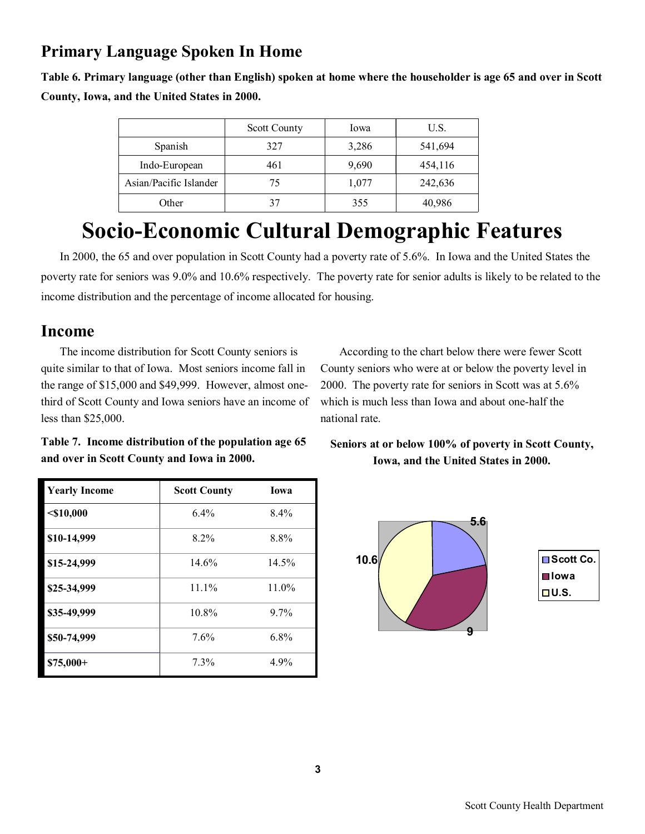## **Primary Language Spoken In Home**

**Table 6. Primary language (other than English) spoken at home where the householder is age 65 and over in Scott County, Iowa, and the United States in 2000.**

|                        | <b>Scott County</b> | Iowa  | U.S.    |
|------------------------|---------------------|-------|---------|
| Spanish                | 327                 | 3,286 | 541,694 |
| Indo-European          | 461                 | 9,690 | 454,116 |
| Asian/Pacific Islander | 75                  | 1,077 | 242,636 |
| Other                  | 37                  | 355   | 40,986  |

# **Socio-Economic Cultural Demographic Features**

In 2000, the 65 and over population in Scott County had a poverty rate of 5.6%. In Iowa and the United States the poverty rate for seniors was 9.0% and 10.6% respectively. The poverty rate for senior adults is likely to be related to the income distribution and the percentage of income allocated for housing.

#### **Income**

The income distribution for Scott County seniors is quite similar to that of Iowa. Most seniors income fall in the range of \$15,000 and \$49,999. However, almost onethird of Scott County and Iowa seniors have an income of less than \$25,000.

According to the chart below there were fewer Scott County seniors who were at or below the poverty level in 2000. The poverty rate for seniors in Scott was at 5.6% which is much less than Iowa and about one-half the national rate.

**Table 7. Income distribution of the population age 65 and over in Scott County and Iowa in 2000.**

| <b>Yearly Income</b> | <b>Scott County</b> | <b>Iowa</b> |
|----------------------|---------------------|-------------|
| $<$ \$10,000         | 6.4%                | 8.4%        |
| \$10-14,999          | $8.2\%$             | 8.8%        |
| \$15-24,999          | 14.6%               | 14.5%       |
| \$25-34,999          | $11.1\%$            | 11.0%       |
| \$35-49,999          | 10.8%               | 9.7%        |
| \$50-74,999          | 7.6%                | 6.8%        |
| $$75,000+$           | 7.3%                | 4.9%        |

**Seniors at or below 100% of poverty in Scott County, Iowa, and the United States in 2000.** 

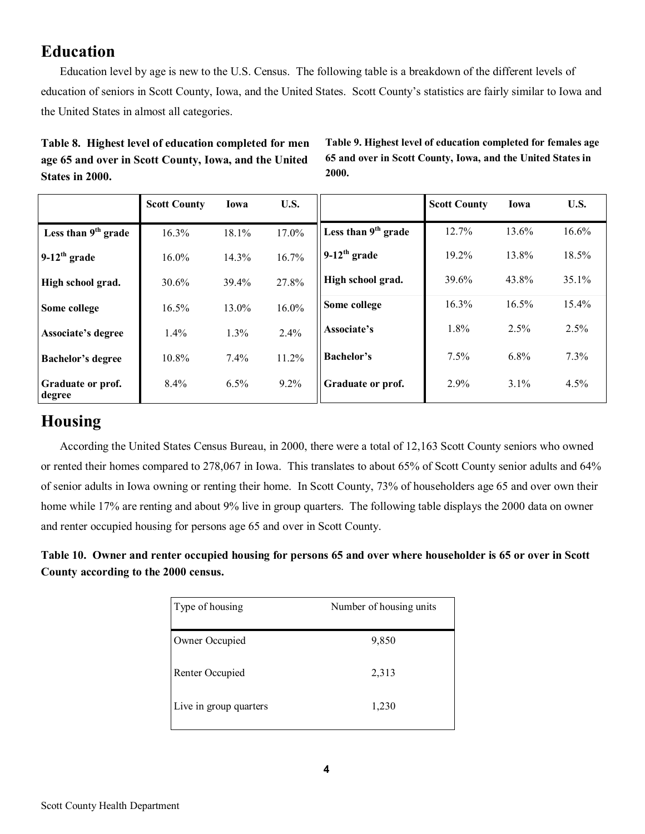## **Education**

Education level by age is new to the U.S. Census. The following table is a breakdown of the different levels of education of seniors in Scott County, Iowa, and the United States. Scott County's statistics are fairly similar to Iowa and the United States in almost all categories.

#### **Table 8. Highest level of education completed for men age 65 and over in Scott County, Iowa, and the United States in 2000.**

**Table 9. Highest level of education completed for females age 65 and over in Scott County, Iowa, and the United States in 2000.** 

|                             | <b>Scott County</b> | Iowa     | U.S.    |                            | <b>Scott County</b> | Iowa  | U.S.    |
|-----------------------------|---------------------|----------|---------|----------------------------|---------------------|-------|---------|
| Less than $9th$ grade       | 16.3%               | 18.1%    | 17.0%   | Less than $9th$ grade      | 12.7%               | 13.6% | 16.6%   |
| $9-12$ <sup>th</sup> grade  | $16.0\%$            | 14.3%    | 16.7%   | $9-12$ <sup>th</sup> grade | 19.2%               | 13.8% | 18.5%   |
| High school grad.           | 30.6%               | 39.4%    | 27.8%   | High school grad.          | 39.6%               | 43.8% | 35.1%   |
| Some college                | 16.5%               | $13.0\%$ | 16.0%   | Some college               | 16.3%               | 16.5% | 15.4%   |
| Associate's degree          | 1.4%                | 1.3%     | 2.4%    | Associate's                | 1.8%                | 2.5%  | 2.5%    |
| <b>Bachelor's degree</b>    | 10.8%               | 7.4%     | 11.2%   | <b>Bachelor's</b>          | 7.5%                | 6.8%  | 7.3%    |
| Graduate or prof.<br>degree | 8.4%                | 6.5%     | $9.2\%$ | Graduate or prof.          | 2.9%                | 3.1%  | $4.5\%$ |

#### **Housing**

According the United States Census Bureau, in 2000, there were a total of 12,163 Scott County seniors who owned or rented their homes compared to 278,067 in Iowa. This translates to about 65% of Scott County senior adults and 64% of senior adults in Iowa owning or renting their home. In Scott County, 73% of householders age 65 and over own their home while 17% are renting and about 9% live in group quarters. The following table displays the 2000 data on owner and renter occupied housing for persons age 65 and over in Scott County.

**Table 10. Owner and renter occupied housing for persons 65 and over where householder is 65 or over in Scott County according to the 2000 census.**

| Type of housing        | Number of housing units |
|------------------------|-------------------------|
| Owner Occupied         | 9,850                   |
| Renter Occupied        | 2,313                   |
| Live in group quarters | 1,230                   |